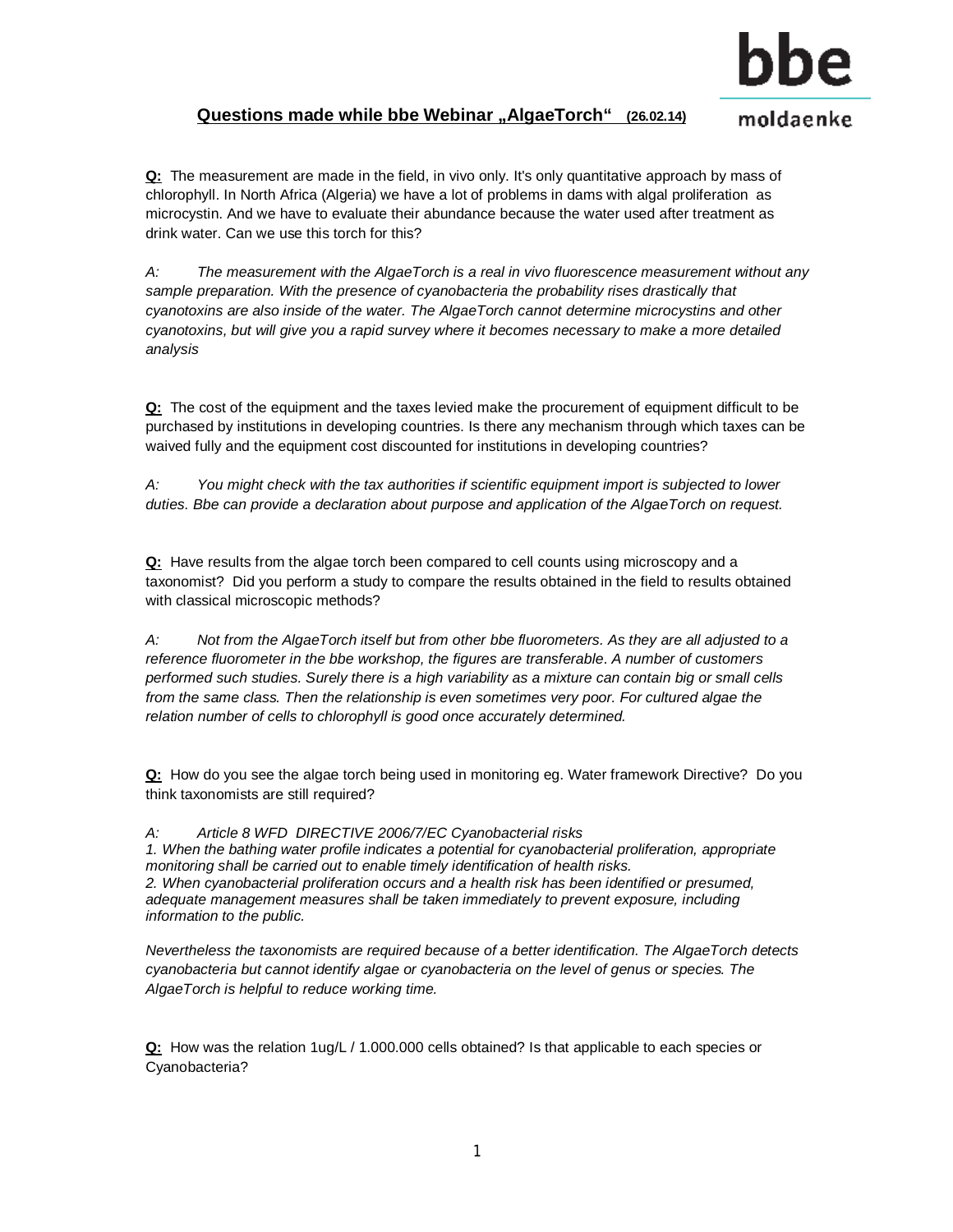

## **Questions made while bbe Webinar "AlgaeTorch" (26.02.14)**

moldaenke

**Q:** The measurement are made in the field, in vivo only. It's only quantitative approach by mass of chlorophyll. In North Africa (Algeria) we have a lot of problems in dams with algal proliferation as microcystin. And we have to evaluate their abundance because the water used after treatment as drink water. Can we use this torch for this?

*A: The measurement with the AlgaeTorch is a real in vivo fluorescence measurement without any sample preparation. With the presence of cyanobacteria the probability rises drastically that cyanotoxins are also inside of the water. The AlgaeTorch cannot determine microcystins and other cyanotoxins, but will give you a rapid survey where it becomes necessary to make a more detailed analysis* 

**Q:** The cost of the equipment and the taxes levied make the procurement of equipment difficult to be purchased by institutions in developing countries. Is there any mechanism through which taxes can be waived fully and the equipment cost discounted for institutions in developing countries?

*A: You might check with the tax authorities if scientific equipment import is subjected to lower duties. Bbe can provide a declaration about purpose and application of the AlgaeTorch on request.* 

**Q:** Have results from the algae torch been compared to cell counts using microscopy and a taxonomist? Did you perform a study to compare the results obtained in the field to results obtained with classical microscopic methods?

*A: Not from the AlgaeTorch itself but from other bbe fluorometers. As they are all adjusted to a reference fluorometer in the bbe workshop, the figures are transferable*. *A number of customers performed such studies. Surely there is a high variability as a mixture can contain big or small cells from the same class. Then the relationship is even sometimes very poor. For cultured algae the relation number of cells to chlorophyll is good once accurately determined.* 

**Q:** How do you see the algae torch being used in monitoring eg. Water framework Directive? Do you think taxonomists are still required?

*A: Article 8 WFD DIRECTIVE 2006/7/EC Cyanobacterial risks* 

*1. When the bathing water profile indicates a potential for cyanobacterial proliferation, appropriate monitoring shall be carried out to enable timely identification of health risks. 2. When cyanobacterial proliferation occurs and a health risk has been identified or presumed, adequate management measures shall be taken immediately to prevent exposure, including information to the public.* 

*Nevertheless the taxonomists are required because of a better identification. The AlgaeTorch detects cyanobacteria but cannot identify algae or cyanobacteria on the level of genus or species. The AlgaeTorch is helpful to reduce working time.* 

**Q:** How was the relation 1ug/L / 1.000.000 cells obtained? Is that applicable to each species or Cyanobacteria?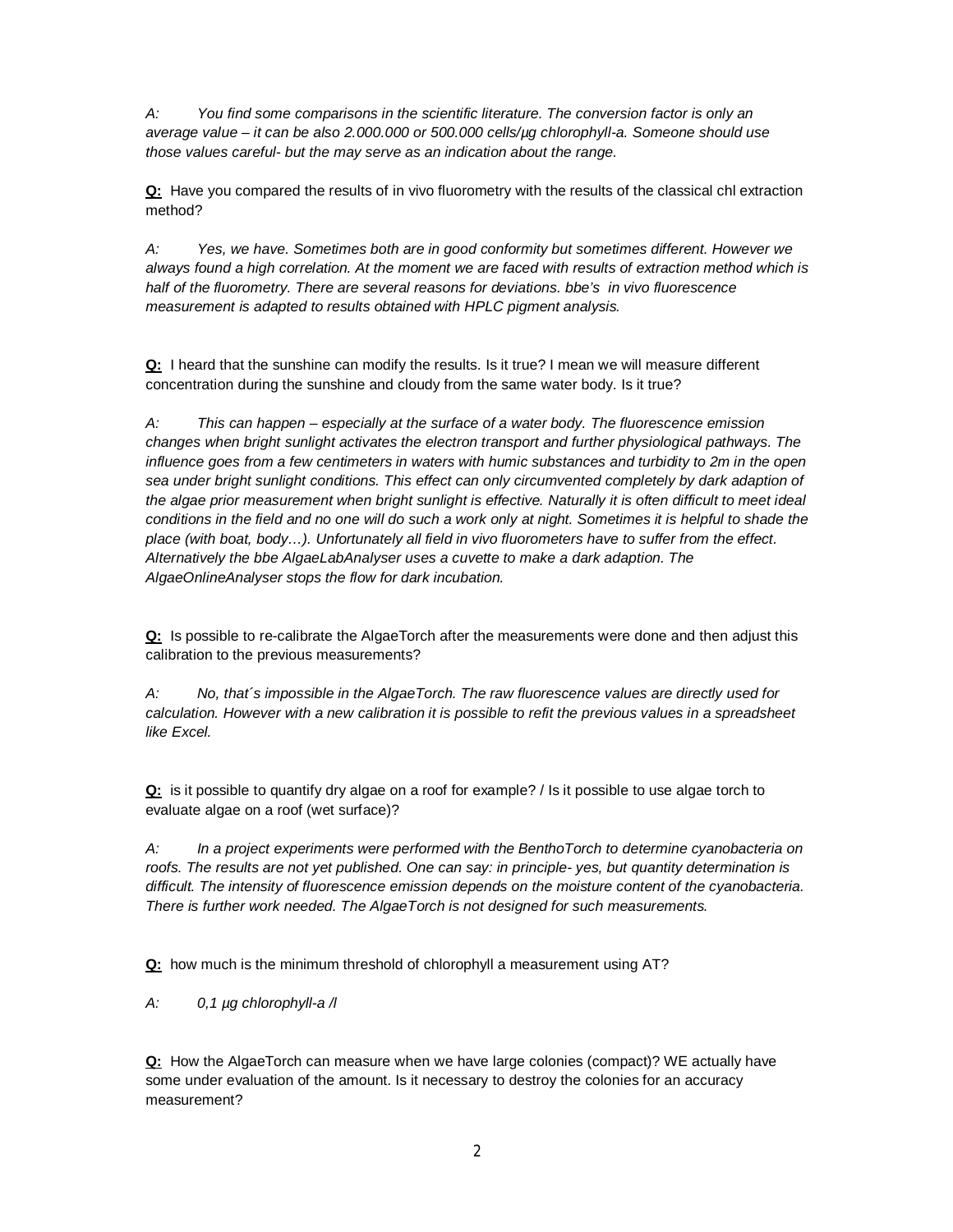*A: You find some comparisons in the scientific literature. The conversion factor is only an average value – it can be also 2.000.000 or 500.000 cells/µg chlorophyll-a. Someone should use those values careful- but the may serve as an indication about the range.* 

**Q:** Have you compared the results of in vivo fluorometry with the results of the classical chl extraction method?

*A: Yes, we have. Sometimes both are in good conformity but sometimes different. However we always found a high correlation. At the moment we are faced with results of extraction method which is half of the fluorometry. There are several reasons for deviations. bbe's in vivo fluorescence measurement is adapted to results obtained with HPLC pigment analysis.* 

**Q:** I heard that the sunshine can modify the results. Is it true? I mean we will measure different concentration during the sunshine and cloudy from the same water body. Is it true?

*A: This can happen – especially at the surface of a water body. The fluorescence emission changes when bright sunlight activates the electron transport and further physiological pathways. The influence goes from a few centimeters in waters with humic substances and turbidity to 2m in the open sea under bright sunlight conditions. This effect can only circumvented completely by dark adaption of*  the algae prior measurement when bright sunlight is effective. Naturally it is often difficult to meet ideal conditions in the field and no one will do such a work only at night. Sometimes it is helpful to shade the *place (with boat, body…). Unfortunately all field in vivo fluorometers have to suffer from the effect. Alternatively the bbe AlgaeLabAnalyser uses a cuvette to make a dark adaption. The AlgaeOnlineAnalyser stops the flow for dark incubation.* 

**Q:** Is possible to re-calibrate the AlgaeTorch after the measurements were done and then adjust this calibration to the previous measurements?

*A: No, that´s impossible in the AlgaeTorch. The raw fluorescence values are directly used for calculation. However with a new calibration it is possible to refit the previous values in a spreadsheet like Excel.* 

**Q:** is it possible to quantify dry algae on a roof for example? / Is it possible to use algae torch to evaluate algae on a roof (wet surface)?

*A: In a project experiments were performed with the BenthoTorch to determine cyanobacteria on roofs. The results are not yet published. One can say: in principle- yes, but quantity determination is difficult. The intensity of fluorescence emission depends on the moisture content of the cyanobacteria. There is further work needed. The AlgaeTorch is not designed for such measurements.*

**Q:** how much is the minimum threshold of chlorophyll a measurement using AT?

*A: 0,1 µg chlorophyll-a /l* 

**Q:** How the AlgaeTorch can measure when we have large colonies (compact)? WE actually have some under evaluation of the amount. Is it necessary to destroy the colonies for an accuracy measurement?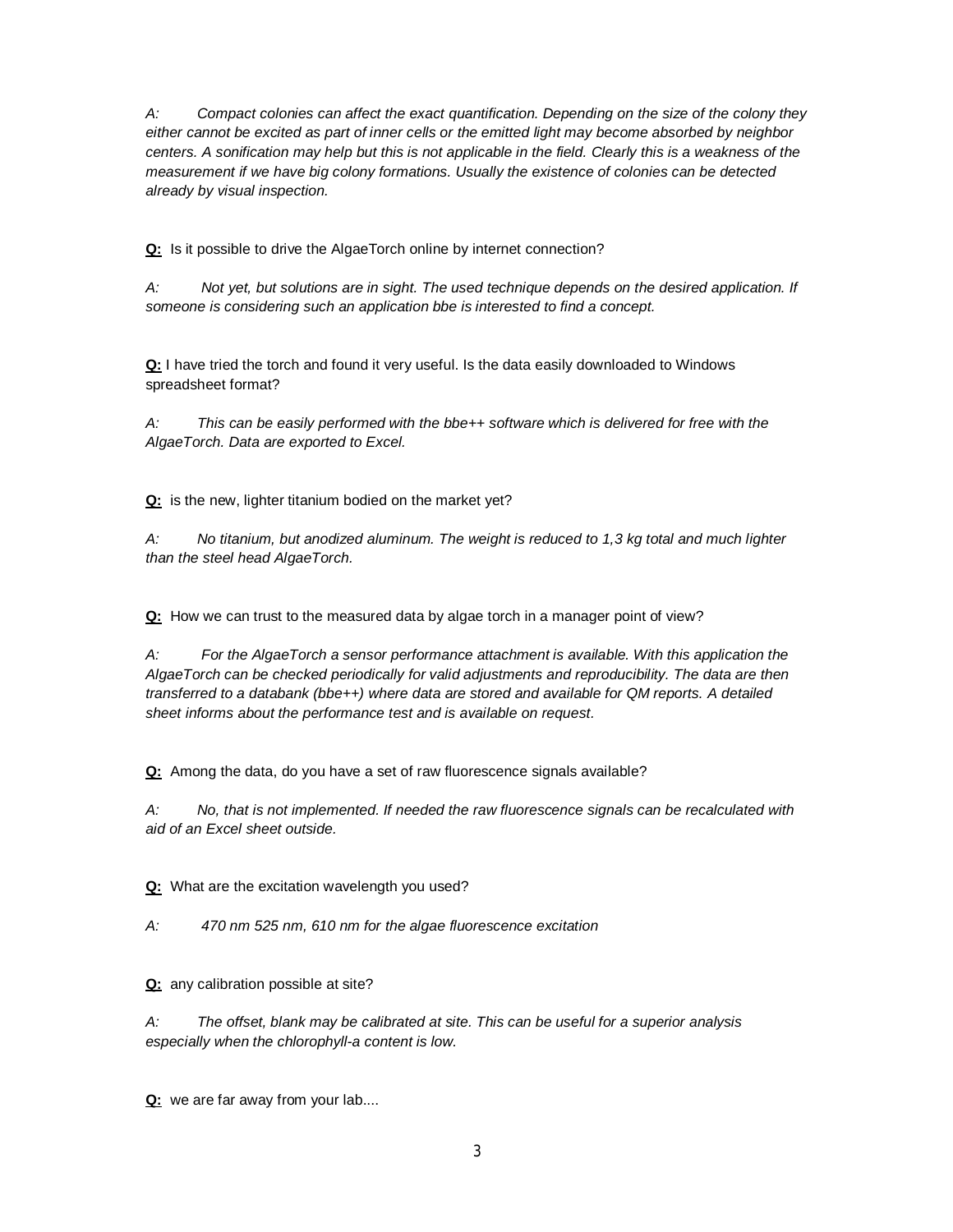*A: Compact colonies can affect the exact quantification. Depending on the size of the colony they either cannot be excited as part of inner cells or the emitted light may become absorbed by neighbor centers. A sonification may help but this is not applicable in the field. Clearly this is a weakness of the measurement if we have big colony formations. Usually the existence of colonies can be detected already by visual inspection.* 

**Q:** Is it possible to drive the AlgaeTorch online by internet connection?

*A: Not yet, but solutions are in sight. The used technique depends on the desired application. If someone is considering such an application bbe is interested to find a concept.* 

**Q:** I have tried the torch and found it very useful. Is the data easily downloaded to Windows spreadsheet format?

*A: This can be easily performed with the bbe++ software which is delivered for free with the AlgaeTorch. Data are exported to Excel.* 

**Q:** is the new, lighter titanium bodied on the market yet?

*A: No titanium, but anodized aluminum. The weight is reduced to 1,3 kg total and much lighter than the steel head AlgaeTorch.* 

**Q:** How we can trust to the measured data by algae torch in a manager point of view?

*A: For the AlgaeTorch a sensor performance attachment is available. With this application the AlgaeTorch can be checked periodically for valid adjustments and reproducibility. The data are then transferred to a databank (bbe++) where data are stored and available for QM reports. A detailed sheet informs about the performance test and is available on request.* 

**Q:** Among the data, do you have a set of raw fluorescence signals available?

*A: No, that is not implemented. If needed the raw fluorescence signals can be recalculated with aid of an Excel sheet outside.* 

**Q:** What are the excitation wavelength you used?

*A: 470 nm 525 nm, 610 nm for the algae fluorescence excitation* 

**Q:** any calibration possible at site?

*A: The offset, blank may be calibrated at site. This can be useful for a superior analysis especially when the chlorophyll-a content is low.* 

**Q:** we are far away from your lab....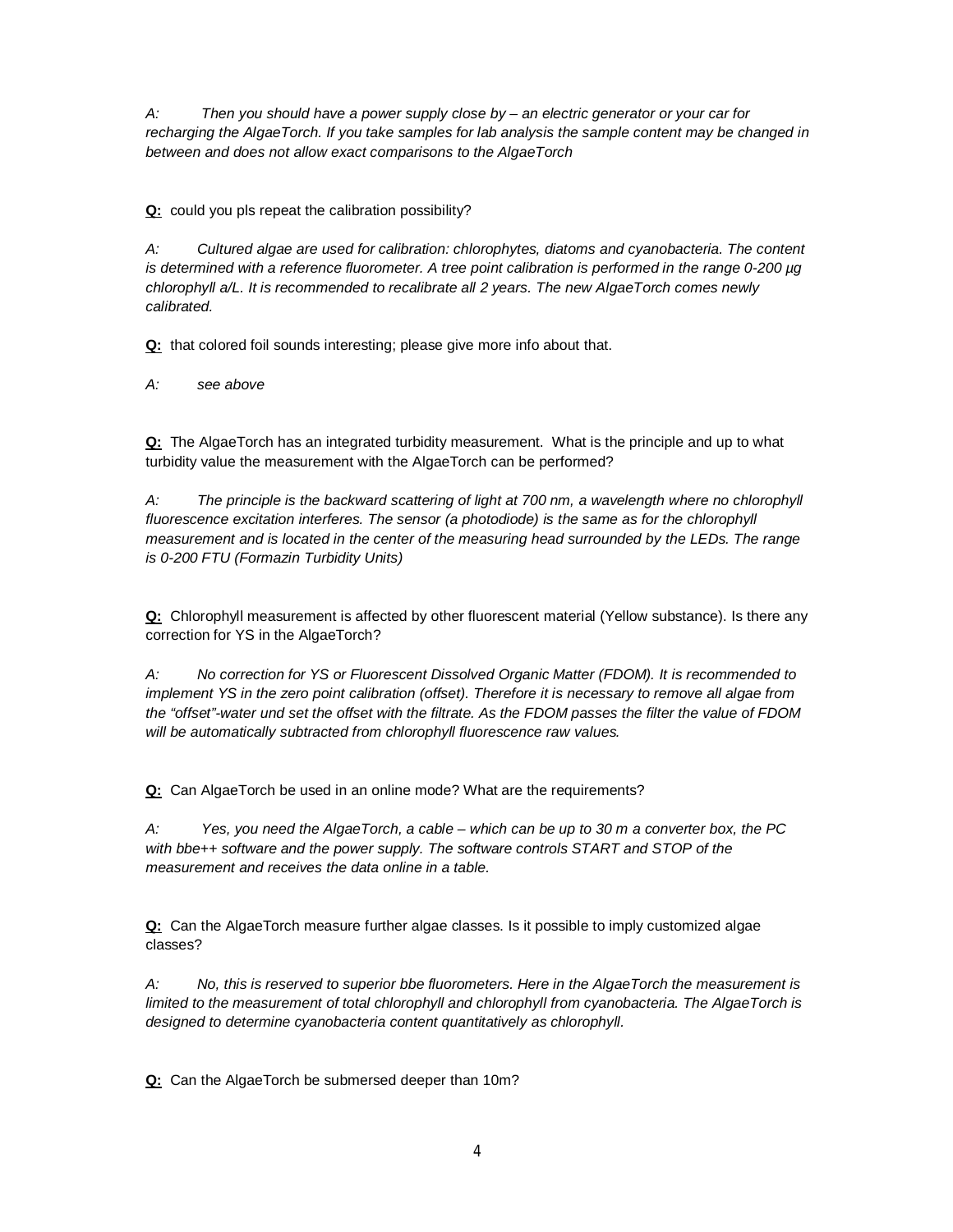*A: Then you should have a power supply close by – an electric generator or your car for recharging the AlgaeTorch. If you take samples for lab analysis the sample content may be changed in between and does not allow exact comparisons to the AlgaeTorch* 

**Q:** could you pls repeat the calibration possibility?

*A: Cultured algae are used for calibration: chlorophytes, diatoms and cyanobacteria. The content is determined with a reference fluorometer. A tree point calibration is performed in the range 0-200 µg chlorophyll a/L. It is recommended to recalibrate all 2 years. The new AlgaeTorch comes newly calibrated.* 

**Q:** that colored foil sounds interesting; please give more info about that.

*A: see above* 

**Q:** The AlgaeTorch has an integrated turbidity measurement. What is the principle and up to what turbidity value the measurement with the AlgaeTorch can be performed?

*A: The principle is the backward scattering of light at 700 nm, a wavelength where no chlorophyll fluorescence excitation interferes. The sensor (a photodiode) is the same as for the chlorophyll measurement and is located in the center of the measuring head surrounded by the LEDs. The range is 0-200 FTU (Formazin Turbidity Units)*

**Q:** Chlorophyll measurement is affected by other fluorescent material (Yellow substance). Is there any correction for YS in the AlgaeTorch?

*A: No correction for YS or Fluorescent Dissolved Organic Matter (FDOM). It is recommended to implement YS in the zero point calibration (offset). Therefore it is necessary to remove all algae from the "offset"-water und set the offset with the filtrate. As the FDOM passes the filter the value of FDOM will be automatically subtracted from chlorophyll fluorescence raw values.* 

**Q:** Can AlgaeTorch be used in an online mode? What are the requirements?

*A: Yes, you need the AlgaeTorch, a cable – which can be up to 30 m a converter box, the PC with bbe++ software and the power supply. The software controls START and STOP of the measurement and receives the data online in a table.* 

**Q:** Can the AlgaeTorch measure further algae classes. Is it possible to imply customized algae classes?

*A: No, this is reserved to superior bbe fluorometers. Here in the AlgaeTorch the measurement is limited to the measurement of total chlorophyll and chlorophyll from cyanobacteria. The AlgaeTorch is designed to determine cyanobacteria content quantitatively as chlorophyll.* 

**Q:** Can the AlgaeTorch be submersed deeper than 10m?